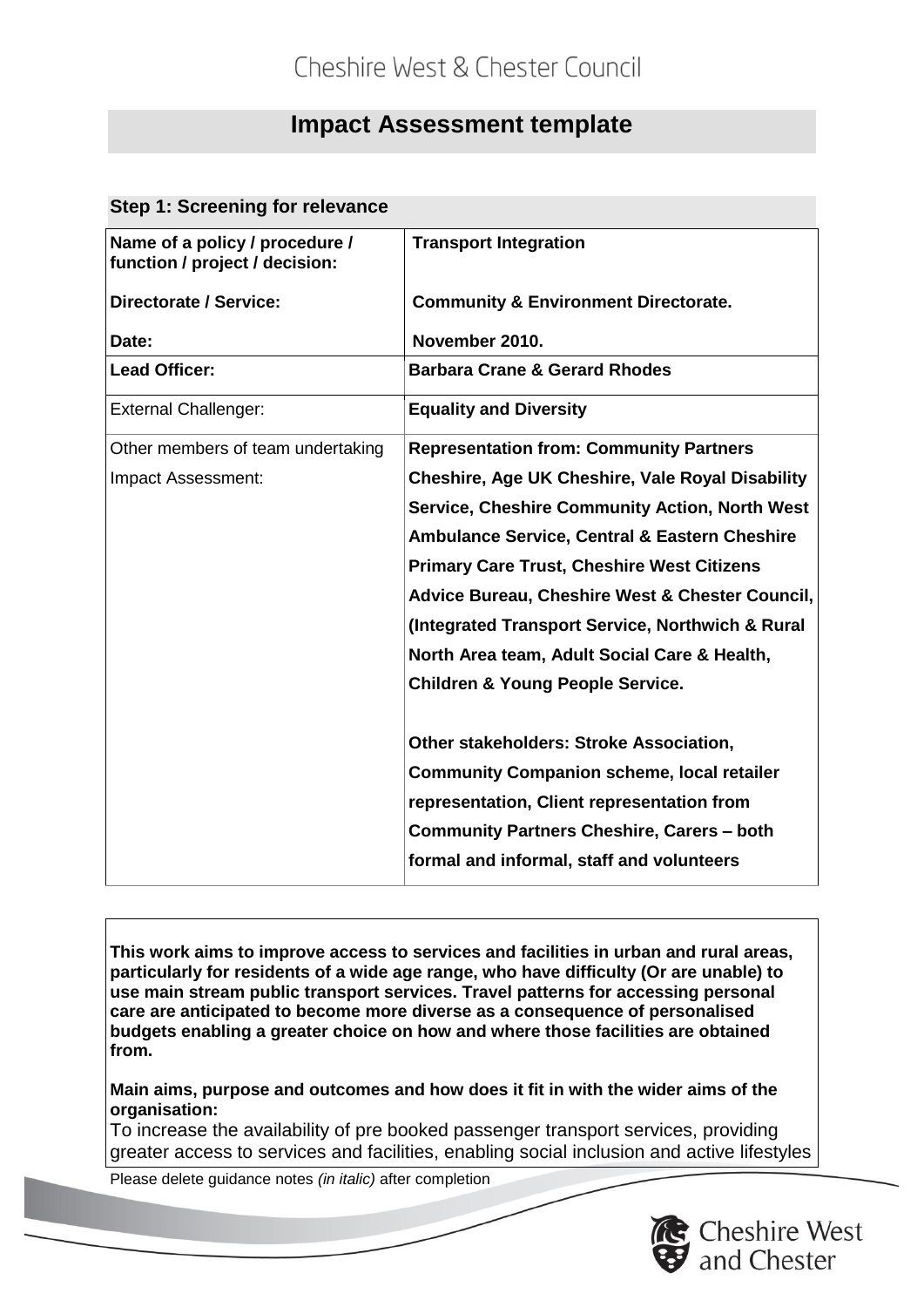# **Impact Assessment template**

#### **Step 1: Screening for relevance**

| Name of a policy / procedure /<br>function / project / decision: | <b>Transport Integration</b>                             |
|------------------------------------------------------------------|----------------------------------------------------------|
| <b>Directorate / Service:</b>                                    | <b>Community &amp; Environment Directorate.</b>          |
| Date:                                                            | November 2010.                                           |
| <b>Lead Officer:</b>                                             | <b>Barbara Crane &amp; Gerard Rhodes</b>                 |
| <b>External Challenger:</b>                                      | <b>Equality and Diversity</b>                            |
| Other members of team undertaking                                | <b>Representation from: Community Partners</b>           |
| Impact Assessment:                                               | <b>Cheshire, Age UK Cheshire, Vale Royal Disability</b>  |
|                                                                  | <b>Service, Cheshire Community Action, North West</b>    |
|                                                                  | <b>Ambulance Service, Central &amp; Eastern Cheshire</b> |
|                                                                  | <b>Primary Care Trust, Cheshire West Citizens</b>        |
|                                                                  | Advice Bureau, Cheshire West & Chester Council,          |
|                                                                  | (Integrated Transport Service, Northwich & Rural)        |
|                                                                  | North Area team, Adult Social Care & Health,             |
|                                                                  | <b>Children &amp; Young People Service.</b>              |
|                                                                  | <b>Other stakeholders: Stroke Association,</b>           |
|                                                                  | <b>Community Companion scheme, local retailer</b>        |
|                                                                  | representation, Client representation from               |
|                                                                  | <b>Community Partners Cheshire, Carers - both</b>        |
|                                                                  | formal and informal, staff and volunteers                |

**This work aims to improve access to services and facilities in urban and rural areas, particularly for residents of a wide age range, who have difficulty (Or are unable) to use main stream public transport services. Travel patterns for accessing personal care are anticipated to become more diverse as a consequence of personalised budgets enabling a greater choice on how and where those facilities are obtained from.**

**Main aims, purpose and outcomes and how does it fit in with the wider aims of the organisation:**

To increase the availability of pre booked passenger transport services, providing greater access to services and facilities, enabling social inclusion and active lifestyles

Please delete guidance notes *(in italic)* after completion

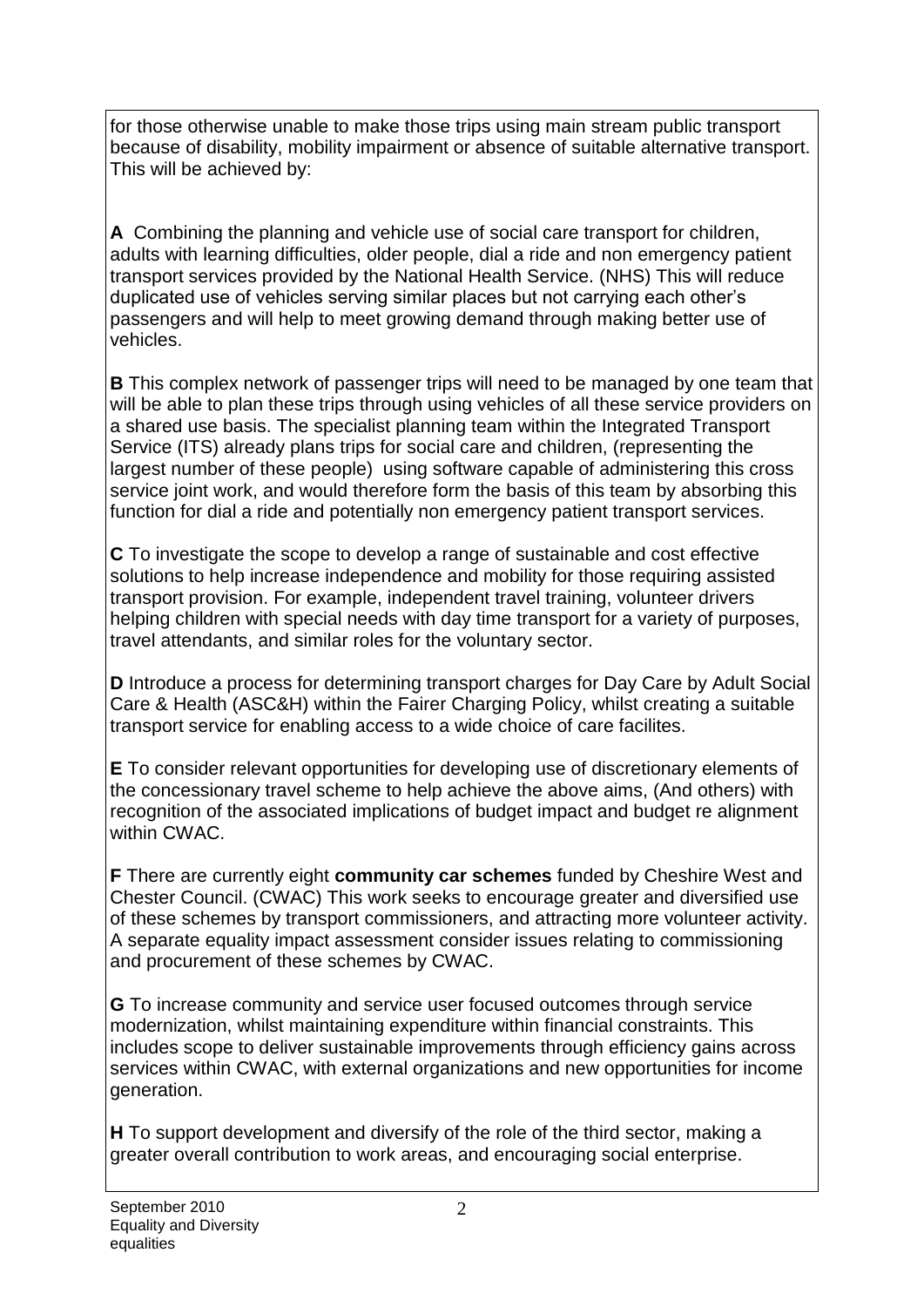for those otherwise unable to make those trips using main stream public transport because of disability, mobility impairment or absence of suitable alternative transport. This will be achieved by:

**A** Combining the planning and vehicle use of social care transport for children, adults with learning difficulties, older people, dial a ride and non emergency patient transport services provided by the National Health Service. (NHS) This will reduce duplicated use of vehicles serving similar places but not carrying each other's passengers and will help to meet growing demand through making better use of vehicles.

**B** This complex network of passenger trips will need to be managed by one team that will be able to plan these trips through using vehicles of all these service providers on a shared use basis. The specialist planning team within the Integrated Transport Service (ITS) already plans trips for social care and children, (representing the largest number of these people) using software capable of administering this cross service joint work, and would therefore form the basis of this team by absorbing this function for dial a ride and potentially non emergency patient transport services.

**C** To investigate the scope to develop a range of sustainable and cost effective solutions to help increase independence and mobility for those requiring assisted transport provision. For example, independent travel training, volunteer drivers helping children with special needs with day time transport for a variety of purposes, travel attendants, and similar roles for the voluntary sector.

**D** Introduce a process for determining transport charges for Day Care by Adult Social Care & Health (ASC&H) within the Fairer Charging Policy, whilst creating a suitable transport service for enabling access to a wide choice of care facilites.

**E** To consider relevant opportunities for developing use of discretionary elements of the concessionary travel scheme to help achieve the above aims, (And others) with recognition of the associated implications of budget impact and budget re alignment within CWAC.

**F** There are currently eight **community car schemes** funded by Cheshire West and Chester Council. (CWAC) This work seeks to encourage greater and diversified use of these schemes by transport commissioners, and attracting more volunteer activity. A separate equality impact assessment consider issues relating to commissioning and procurement of these schemes by CWAC.

**G** To increase community and service user focused outcomes through service modernization, whilst maintaining expenditure within financial constraints. This includes scope to deliver sustainable improvements through efficiency gains across services within CWAC, with external organizations and new opportunities for income generation.

**H** To support development and diversify of the role of the third sector, making a greater overall contribution to work areas, and encouraging social enterprise.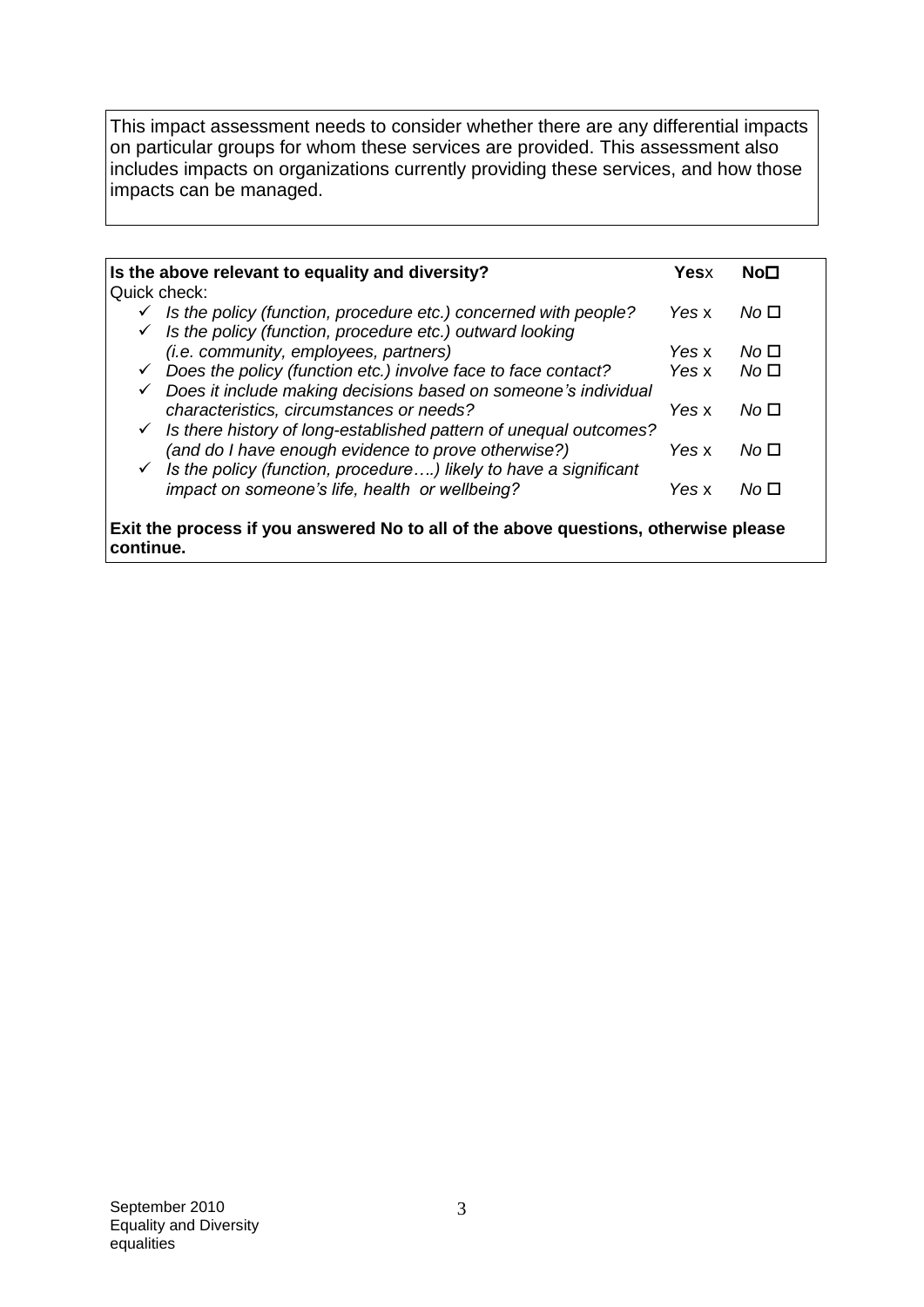This impact assessment needs to consider whether there are any differential impacts on particular groups for whom these services are provided. This assessment also includes impacts on organizations currently providing these services, and how those impacts can be managed.

|              | Is the above relevant to equality and diversity?                                    | Yesx  | No⊡             |
|--------------|-------------------------------------------------------------------------------------|-------|-----------------|
| Quick check: |                                                                                     |       |                 |
| $\checkmark$ | Is the policy (function, procedure etc.) concerned with people?                     | Yes x | No □            |
| $\checkmark$ | Is the policy (function, procedure etc.) outward looking                            |       |                 |
|              | <i>(i.e. community, employees, partners)</i>                                        | Yes x | No <sub>1</sub> |
| $\checkmark$ | Does the policy (function etc.) involve face to face contact?                       | Yes x | No□             |
| ✓            | Does it include making decisions based on someone's individual                      |       |                 |
|              | characteristics, circumstances or needs?                                            | Yes x | No □            |
| $\checkmark$ | Is there history of long-established pattern of unequal outcomes?                   |       |                 |
|              | (and do I have enough evidence to prove otherwise?)                                 | Yes x | No □            |
|              | $\checkmark$ Is the policy (function, procedure) likely to have a significant       |       |                 |
|              | impact on someone's life, health or wellbeing?                                      | Yes x | No □            |
|              |                                                                                     |       |                 |
|              | Exit the process if you answered No to all of the above questions, otherwise please |       |                 |
| continue.    |                                                                                     |       |                 |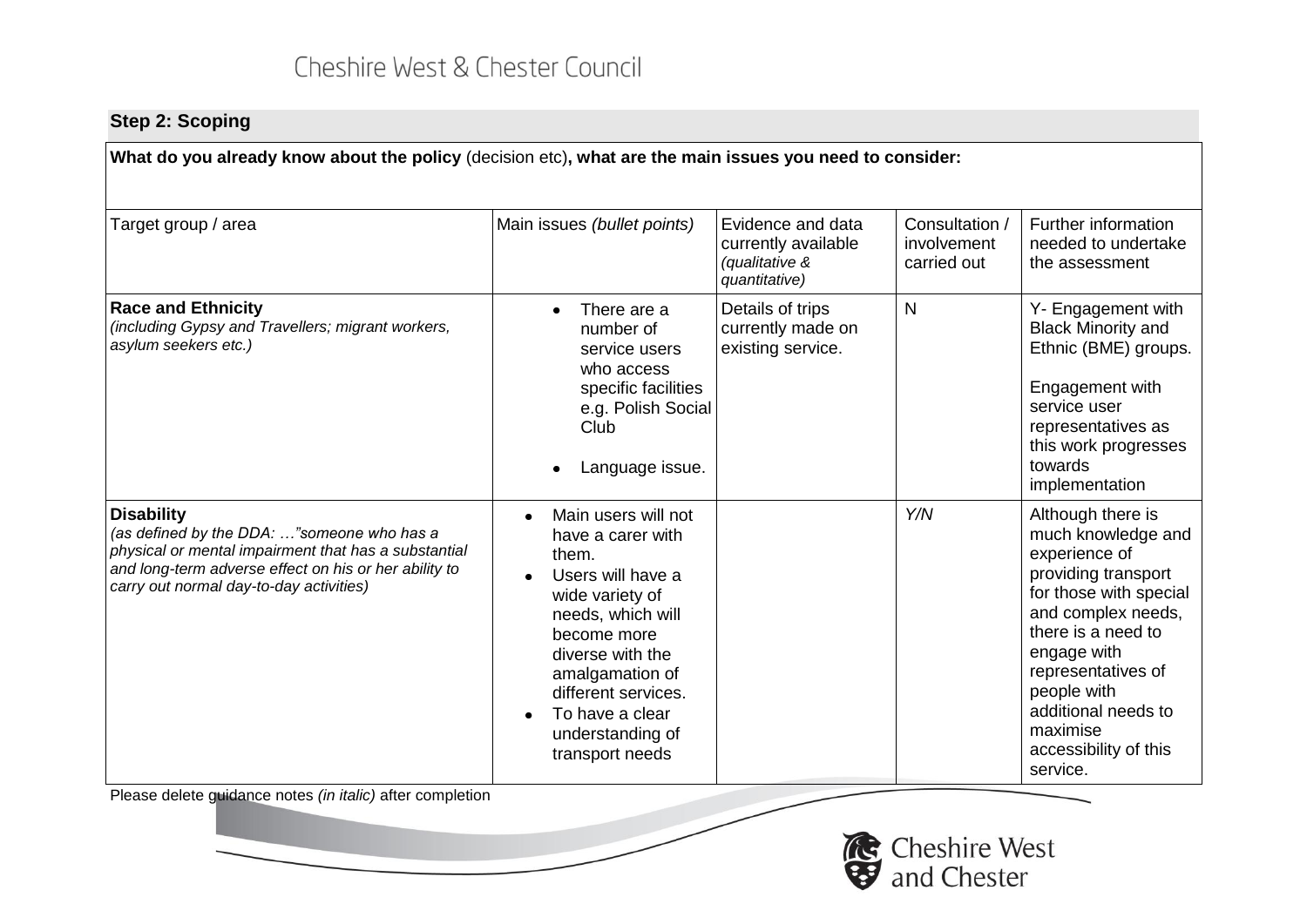### **Step 2: Scoping**

**What do you already know about the policy** (decision etc)**, what are the main issues you need to consider:**

| Target group / area                                                                                                                                                                                                         | Main issues (bullet points)                                                                                                                                                                                                                           | Evidence and data<br>currently available<br>(qualitative &<br>quantitative) | Consultation /<br>involvement<br>carried out | Further information<br>needed to undertake<br>the assessment                                                                                                                                                                                                                      |
|-----------------------------------------------------------------------------------------------------------------------------------------------------------------------------------------------------------------------------|-------------------------------------------------------------------------------------------------------------------------------------------------------------------------------------------------------------------------------------------------------|-----------------------------------------------------------------------------|----------------------------------------------|-----------------------------------------------------------------------------------------------------------------------------------------------------------------------------------------------------------------------------------------------------------------------------------|
| <b>Race and Ethnicity</b><br>(including Gypsy and Travellers; migrant workers,<br>asylum seekers etc.)                                                                                                                      | There are a<br>number of<br>service users<br>who access<br>specific facilities<br>e.g. Polish Social<br>Club<br>Language issue.                                                                                                                       | Details of trips<br>currently made on<br>existing service.                  | $\mathsf{N}$                                 | Y- Engagement with<br><b>Black Minority and</b><br>Ethnic (BME) groups.<br>Engagement with<br>service user<br>representatives as<br>this work progresses<br>towards<br>implementation                                                                                             |
| <b>Disability</b><br>(as defined by the DDA: "someone who has a<br>physical or mental impairment that has a substantial<br>and long-term adverse effect on his or her ability to<br>carry out normal day-to-day activities) | Main users will not<br>have a carer with<br>them.<br>Users will have a<br>wide variety of<br>needs, which will<br>become more<br>diverse with the<br>amalgamation of<br>different services.<br>To have a clear<br>understanding of<br>transport needs |                                                                             | Y/N                                          | Although there is<br>much knowledge and<br>experience of<br>providing transport<br>for those with special<br>and complex needs,<br>there is a need to<br>engage with<br>representatives of<br>people with<br>additional needs to<br>maximise<br>accessibility of this<br>service. |
| Please delete guidance notes (in italic) after completion                                                                                                                                                                   |                                                                                                                                                                                                                                                       |                                                                             |                                              |                                                                                                                                                                                                                                                                                   |

Cheshire West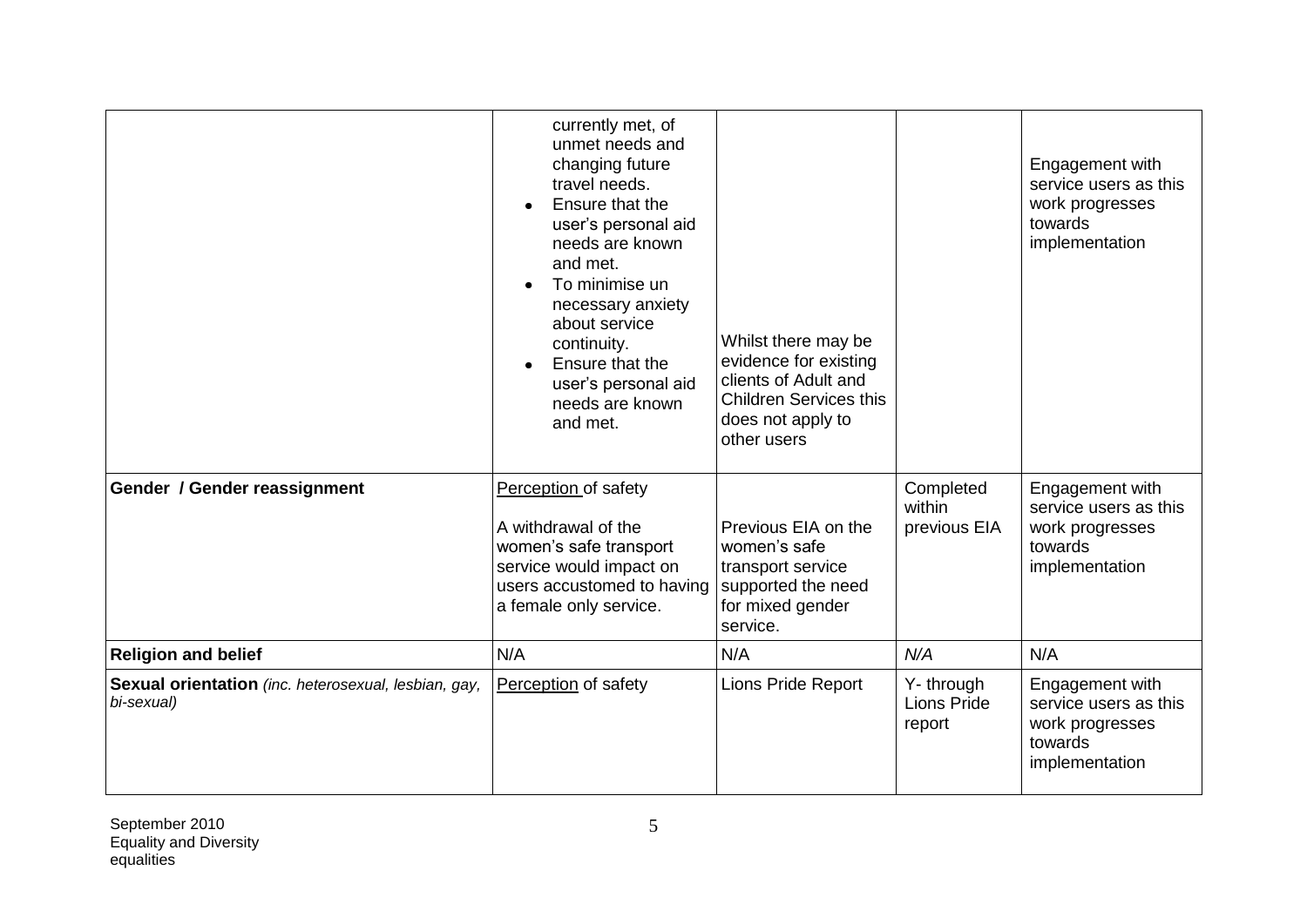|                                                                    | currently met, of<br>unmet needs and<br>changing future<br>travel needs.<br>Ensure that the<br>user's personal aid<br>needs are known<br>and met.<br>To minimise un<br>$\bullet$<br>necessary anxiety<br>about service<br>continuity.<br>Ensure that the<br>user's personal aid<br>needs are known<br>and met. | Whilst there may be<br>evidence for existing<br>clients of Adult and<br><b>Children Services this</b><br>does not apply to<br>other users |                                            | Engagement with<br>service users as this<br>work progresses<br>towards<br>implementation |
|--------------------------------------------------------------------|----------------------------------------------------------------------------------------------------------------------------------------------------------------------------------------------------------------------------------------------------------------------------------------------------------------|-------------------------------------------------------------------------------------------------------------------------------------------|--------------------------------------------|------------------------------------------------------------------------------------------|
| Gender / Gender reassignment                                       | Perception of safety<br>A withdrawal of the<br>women's safe transport<br>service would impact on<br>users accustomed to having<br>a female only service.                                                                                                                                                       | Previous EIA on the<br>women's safe<br>transport service<br>supported the need<br>for mixed gender<br>service.                            | Completed<br>within<br>previous EIA        | Engagement with<br>service users as this<br>work progresses<br>towards<br>implementation |
| <b>Religion and belief</b>                                         | N/A                                                                                                                                                                                                                                                                                                            | N/A                                                                                                                                       | N/A                                        | N/A                                                                                      |
| Sexual orientation (inc. heterosexual, lesbian, gay,<br>bi-sexual) | Perception of safety                                                                                                                                                                                                                                                                                           | Lions Pride Report                                                                                                                        | Y- through<br><b>Lions Pride</b><br>report | Engagement with<br>service users as this<br>work progresses<br>towards<br>implementation |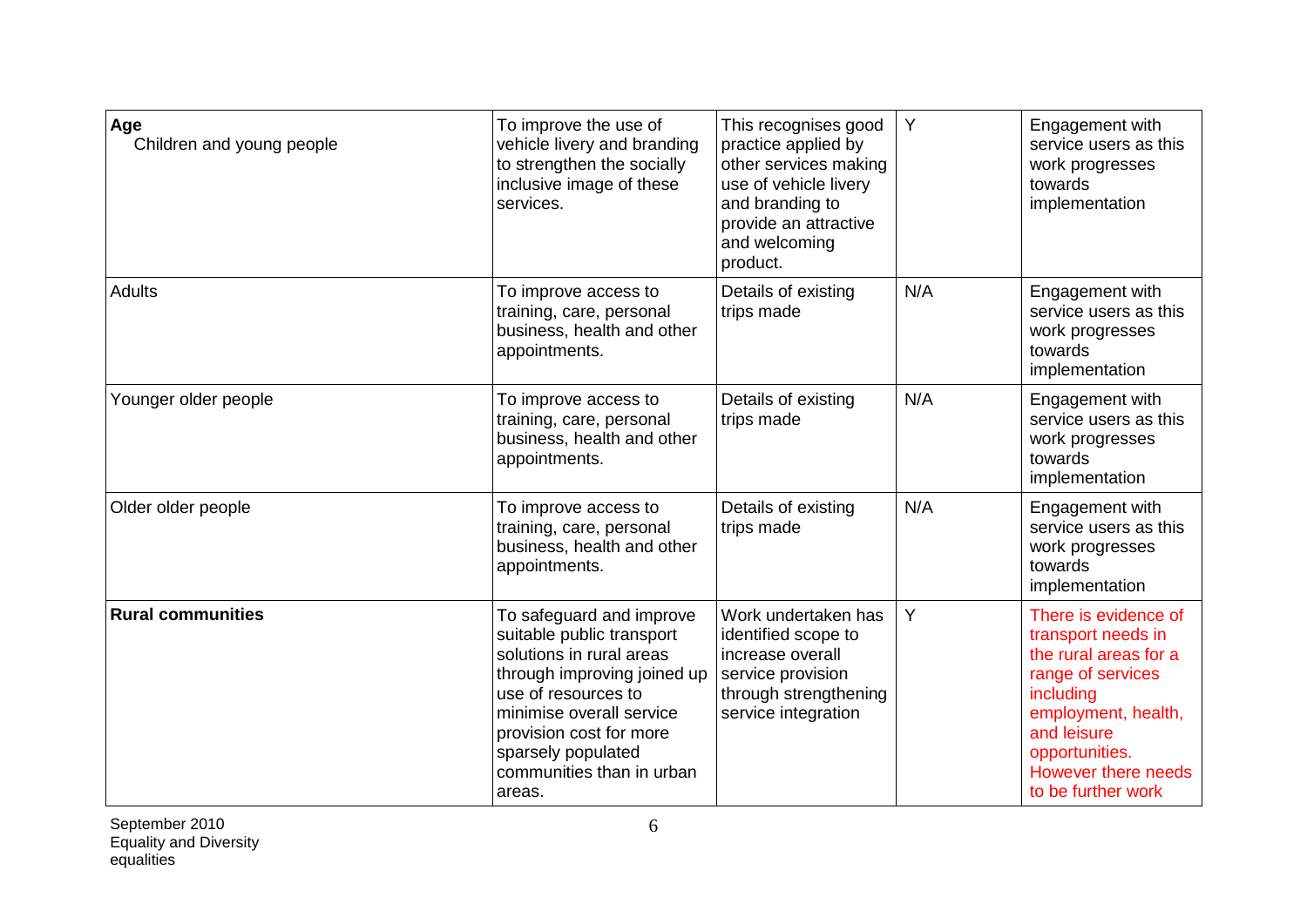| Age<br>Children and young people | To improve the use of<br>vehicle livery and branding<br>to strengthen the socially<br>inclusive image of these<br>services.                                                                                                                                 | This recognises good<br>practice applied by<br>other services making<br>use of vehicle livery<br>and branding to<br>provide an attractive<br>and welcoming<br>product. | Y   | Engagement with<br>service users as this<br>work progresses<br>towards<br>implementation                                                                                                                   |
|----------------------------------|-------------------------------------------------------------------------------------------------------------------------------------------------------------------------------------------------------------------------------------------------------------|------------------------------------------------------------------------------------------------------------------------------------------------------------------------|-----|------------------------------------------------------------------------------------------------------------------------------------------------------------------------------------------------------------|
| <b>Adults</b>                    | To improve access to<br>training, care, personal<br>business, health and other<br>appointments.                                                                                                                                                             | Details of existing<br>trips made                                                                                                                                      | N/A | Engagement with<br>service users as this<br>work progresses<br>towards<br>implementation                                                                                                                   |
| Younger older people             | Details of existing<br>To improve access to<br>trips made<br>training, care, personal<br>business, health and other<br>appointments.                                                                                                                        |                                                                                                                                                                        | N/A | Engagement with<br>service users as this<br>work progresses<br>towards<br>implementation                                                                                                                   |
| Older older people               | To improve access to<br>training, care, personal<br>business, health and other<br>appointments.                                                                                                                                                             | Details of existing<br>trips made                                                                                                                                      | N/A | Engagement with<br>service users as this<br>work progresses<br>towards<br>implementation                                                                                                                   |
| <b>Rural communities</b>         | To safeguard and improve<br>suitable public transport<br>solutions in rural areas<br>through improving joined up<br>use of resources to<br>minimise overall service<br>provision cost for more<br>sparsely populated<br>communities than in urban<br>areas. | Work undertaken has<br>identified scope to<br>increase overall<br>service provision<br>through strengthening<br>service integration                                    | Y   | There is evidence of<br>transport needs in<br>the rural areas for a<br>range of services<br>including<br>employment, health,<br>and leisure<br>opportunities.<br>However there needs<br>to be further work |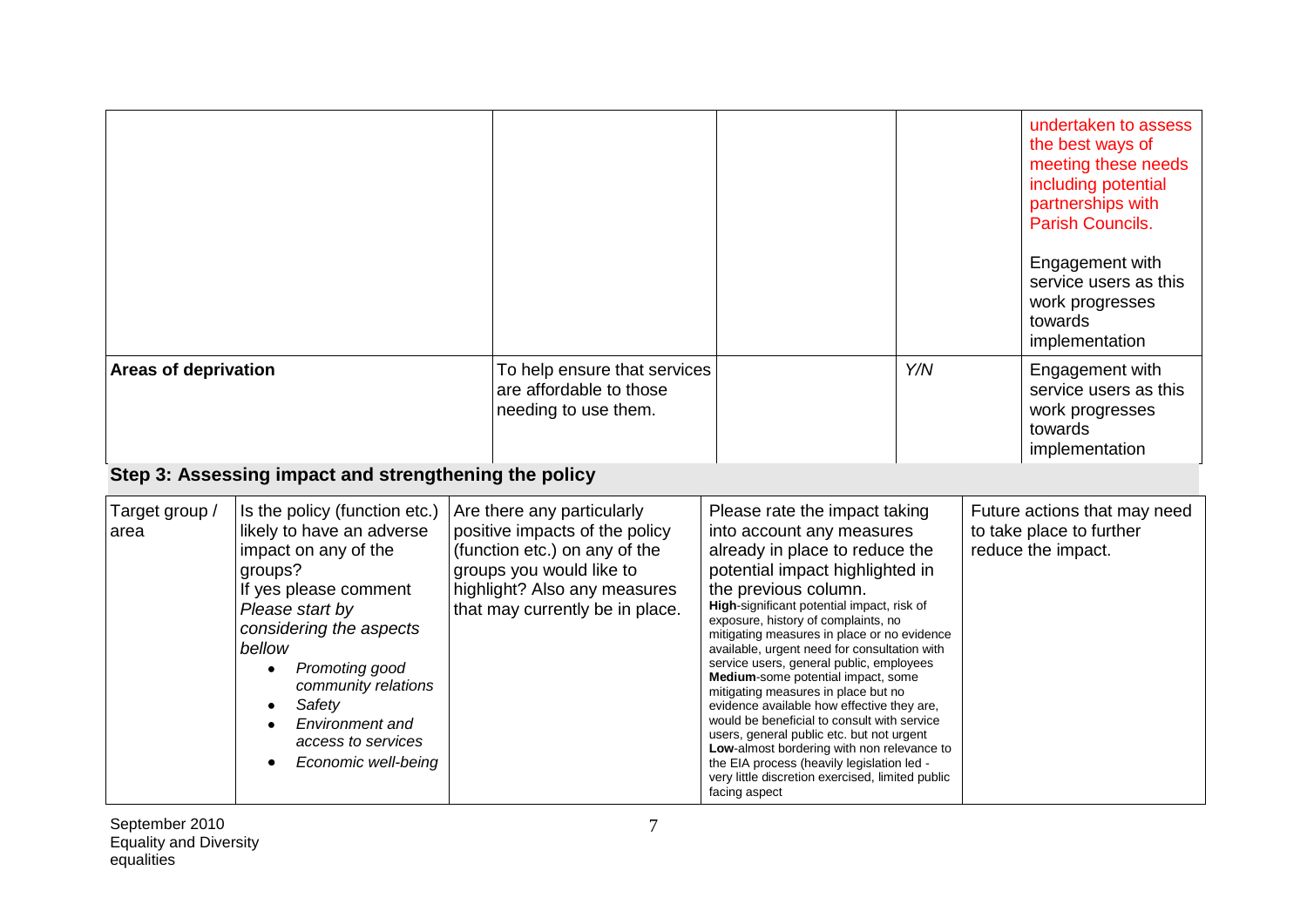|                             |                                                                                                                                                                                                                                                                                                                                                                                      |                                                                                                                                                                                              |                                                                                                                                                                                                                                                                                                                                                                                                                                                                                                                                                                                                                                                                                                                                                                                 |     | undertaken to assess<br>the best ways of<br>meeting these needs<br>including potential<br>partnerships with<br>Parish Councils.<br>Engagement with<br>service users as this<br>work progresses<br>towards<br>implementation |
|-----------------------------|--------------------------------------------------------------------------------------------------------------------------------------------------------------------------------------------------------------------------------------------------------------------------------------------------------------------------------------------------------------------------------------|----------------------------------------------------------------------------------------------------------------------------------------------------------------------------------------------|---------------------------------------------------------------------------------------------------------------------------------------------------------------------------------------------------------------------------------------------------------------------------------------------------------------------------------------------------------------------------------------------------------------------------------------------------------------------------------------------------------------------------------------------------------------------------------------------------------------------------------------------------------------------------------------------------------------------------------------------------------------------------------|-----|-----------------------------------------------------------------------------------------------------------------------------------------------------------------------------------------------------------------------------|
| <b>Areas of deprivation</b> |                                                                                                                                                                                                                                                                                                                                                                                      | To help ensure that services<br>are affordable to those<br>needing to use them.                                                                                                              |                                                                                                                                                                                                                                                                                                                                                                                                                                                                                                                                                                                                                                                                                                                                                                                 | Y/N | Engagement with<br>service users as this<br>work progresses<br>towards<br>implementation                                                                                                                                    |
| Target group /<br>area      | Step 3: Assessing impact and strengthening the policy<br>Is the policy (function etc.)<br>likely to have an adverse<br>impact on any of the<br>groups?<br>If yes please comment<br>Please start by<br>considering the aspects<br>bellow<br>Promoting good<br>$\bullet$<br>community relations<br>Safety<br>$\bullet$<br>Environment and<br>access to services<br>Economic well-being | Are there any particularly<br>positive impacts of the policy<br>(function etc.) on any of the<br>groups you would like to<br>highlight? Also any measures<br>that may currently be in place. | Please rate the impact taking<br>into account any measures<br>already in place to reduce the<br>potential impact highlighted in<br>the previous column.<br>High-significant potential impact, risk of<br>exposure, history of complaints, no<br>mitigating measures in place or no evidence<br>available, urgent need for consultation with<br>service users, general public, employees<br>Medium-some potential impact, some<br>mitigating measures in place but no<br>evidence available how effective they are.<br>would be beneficial to consult with service<br>users, general public etc. but not urgent<br>Low-almost bordering with non relevance to<br>the EIA process (heavily legislation led -<br>very little discretion exercised, limited public<br>facing aspect |     | Future actions that may need<br>to take place to further<br>reduce the impact.                                                                                                                                              |

September 2010 Equality and Diversity equalities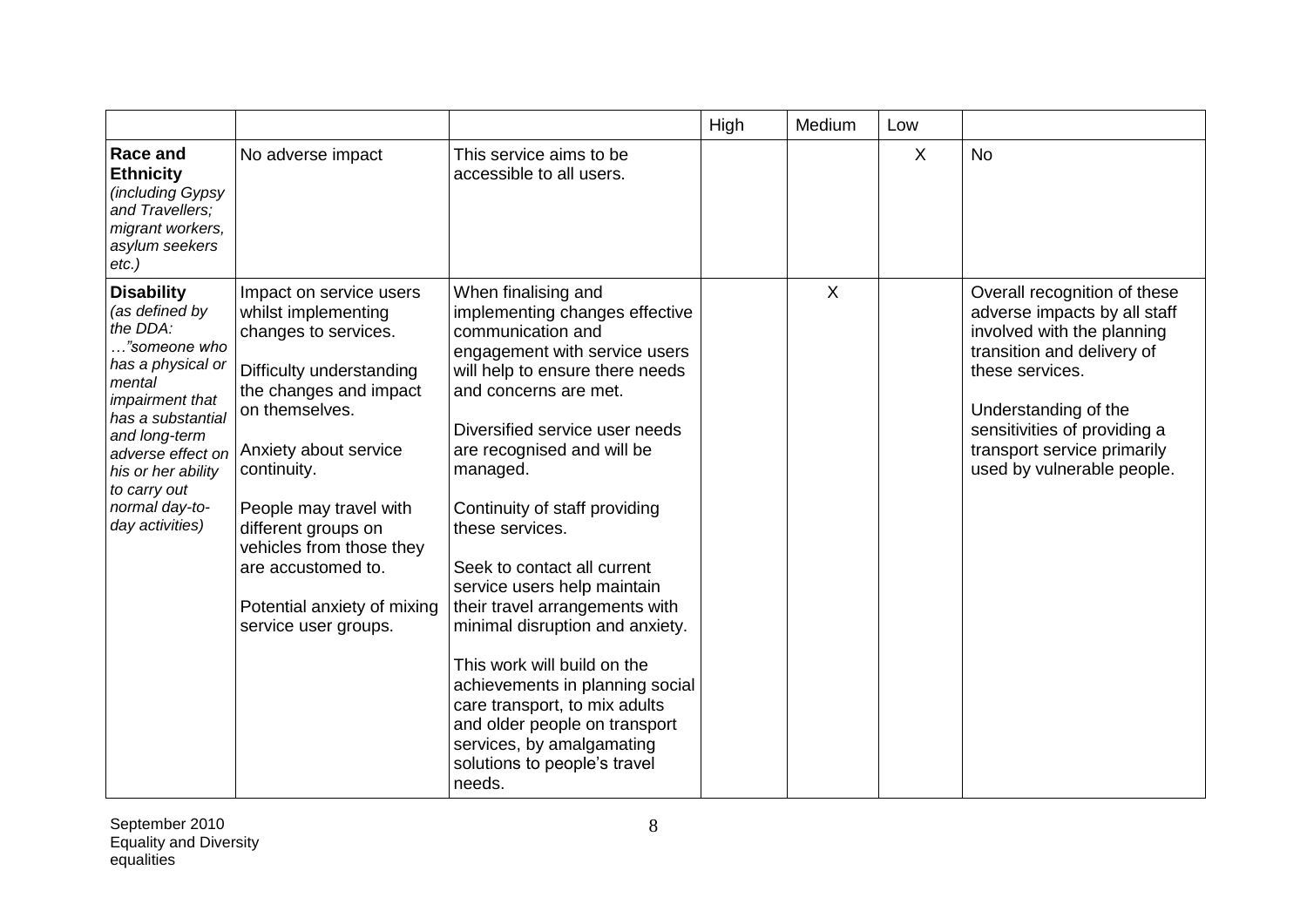|                                                                                                                                                                                                                                                         |                                                                                                                                                                                                                                                                                                                                                  |                                                                                                                                                                                                                                                                                                                                                                                                                                                                                                                                                                                                                                                       | High | Medium | Low     |                                                                                                                                                                                                                                                                  |
|---------------------------------------------------------------------------------------------------------------------------------------------------------------------------------------------------------------------------------------------------------|--------------------------------------------------------------------------------------------------------------------------------------------------------------------------------------------------------------------------------------------------------------------------------------------------------------------------------------------------|-------------------------------------------------------------------------------------------------------------------------------------------------------------------------------------------------------------------------------------------------------------------------------------------------------------------------------------------------------------------------------------------------------------------------------------------------------------------------------------------------------------------------------------------------------------------------------------------------------------------------------------------------------|------|--------|---------|------------------------------------------------------------------------------------------------------------------------------------------------------------------------------------------------------------------------------------------------------------------|
| Race and<br><b>Ethnicity</b><br>(including Gypsy<br>and Travellers;<br>migrant workers,<br>asylum seekers<br>$etc.$ )                                                                                                                                   | No adverse impact                                                                                                                                                                                                                                                                                                                                | This service aims to be<br>accessible to all users.                                                                                                                                                                                                                                                                                                                                                                                                                                                                                                                                                                                                   |      |        | $\sf X$ | <b>No</b>                                                                                                                                                                                                                                                        |
| <b>Disability</b><br>(as defined by<br>the DDA:<br>"someone who<br>has a physical or<br>mental<br>impairment that<br>has a substantial<br>and long-term<br>adverse effect on<br>his or her ability<br>to carry out<br>normal day-to-<br>day activities) | Impact on service users<br>whilst implementing<br>changes to services.<br>Difficulty understanding<br>the changes and impact<br>on themselves.<br>Anxiety about service<br>continuity.<br>People may travel with<br>different groups on<br>vehicles from those they<br>are accustomed to.<br>Potential anxiety of mixing<br>service user groups. | When finalising and<br>implementing changes effective<br>communication and<br>engagement with service users<br>will help to ensure there needs<br>and concerns are met.<br>Diversified service user needs<br>are recognised and will be<br>managed.<br>Continuity of staff providing<br>these services.<br>Seek to contact all current<br>service users help maintain<br>their travel arrangements with<br>minimal disruption and anxiety.<br>This work will build on the<br>achievements in planning social<br>care transport, to mix adults<br>and older people on transport<br>services, by amalgamating<br>solutions to people's travel<br>needs. |      | X      |         | Overall recognition of these<br>adverse impacts by all staff<br>involved with the planning<br>transition and delivery of<br>these services.<br>Understanding of the<br>sensitivities of providing a<br>transport service primarily<br>used by vulnerable people. |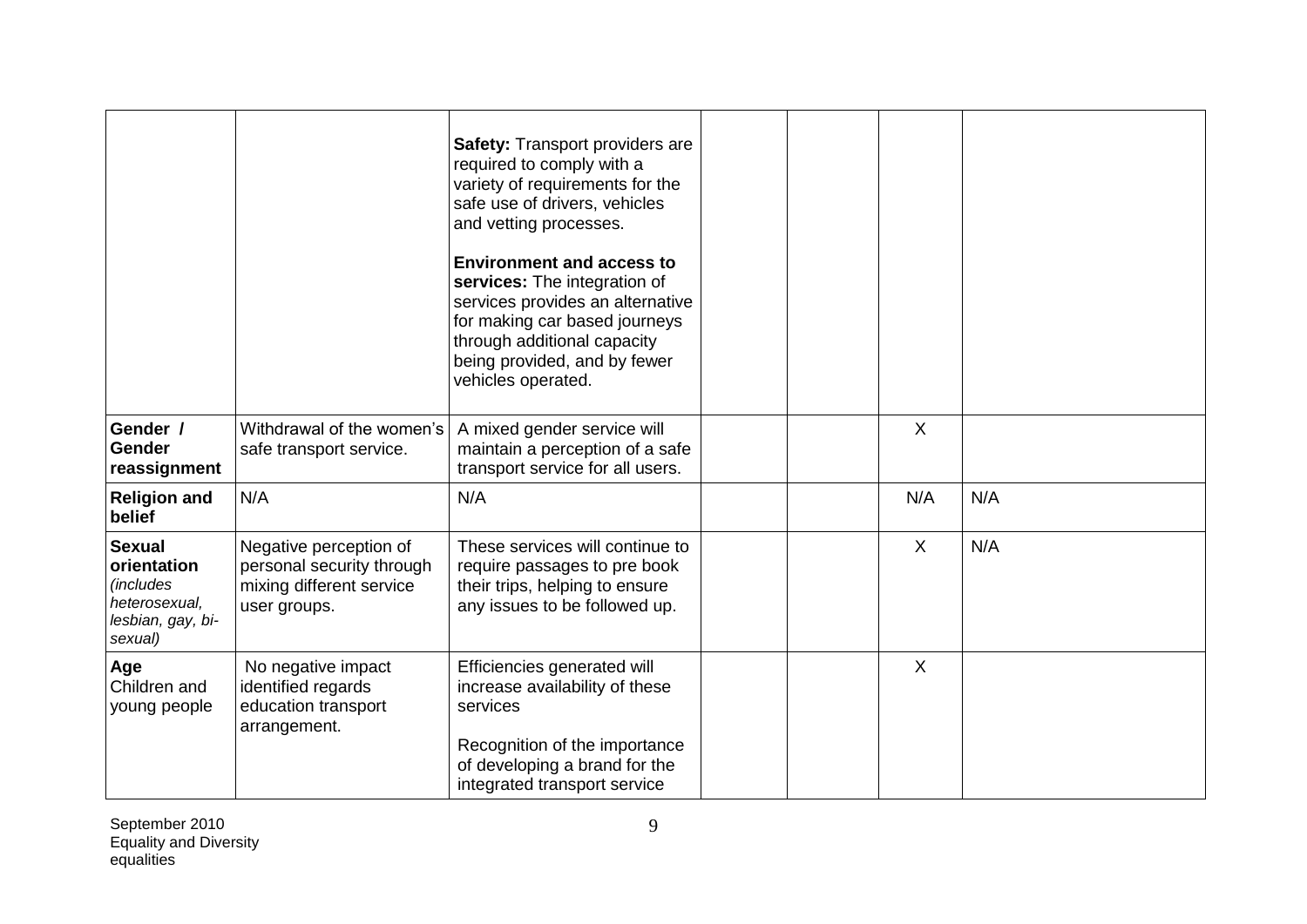|                                                                                                    |                                                                                                 | <b>Safety: Transport providers are</b><br>required to comply with a<br>variety of requirements for the<br>safe use of drivers, vehicles<br>and vetting processes.<br><b>Environment and access to</b><br>services: The integration of<br>services provides an alternative<br>for making car based journeys<br>through additional capacity<br>being provided, and by fewer<br>vehicles operated. |                           |     |
|----------------------------------------------------------------------------------------------------|-------------------------------------------------------------------------------------------------|-------------------------------------------------------------------------------------------------------------------------------------------------------------------------------------------------------------------------------------------------------------------------------------------------------------------------------------------------------------------------------------------------|---------------------------|-----|
| Gender /<br>Gender<br>reassignment                                                                 | Withdrawal of the women's<br>safe transport service.                                            | A mixed gender service will<br>maintain a perception of a safe<br>transport service for all users.                                                                                                                                                                                                                                                                                              | X                         |     |
| <b>Religion and</b><br>belief                                                                      | N/A                                                                                             | N/A                                                                                                                                                                                                                                                                                                                                                                                             | N/A                       | N/A |
| <b>Sexual</b><br>orientation<br><i>(includes)</i><br>heterosexual,<br>lesbian, gay, bi-<br>sexual) | Negative perception of<br>personal security through<br>mixing different service<br>user groups. | These services will continue to<br>require passages to pre book<br>their trips, helping to ensure<br>any issues to be followed up.                                                                                                                                                                                                                                                              | $\sf X$                   | N/A |
| Age<br>Children and<br>young people                                                                | No negative impact<br>identified regards<br>education transport<br>arrangement.                 | Efficiencies generated will<br>increase availability of these<br>services<br>Recognition of the importance<br>of developing a brand for the<br>integrated transport service                                                                                                                                                                                                                     | $\boldsymbol{\mathsf{X}}$ |     |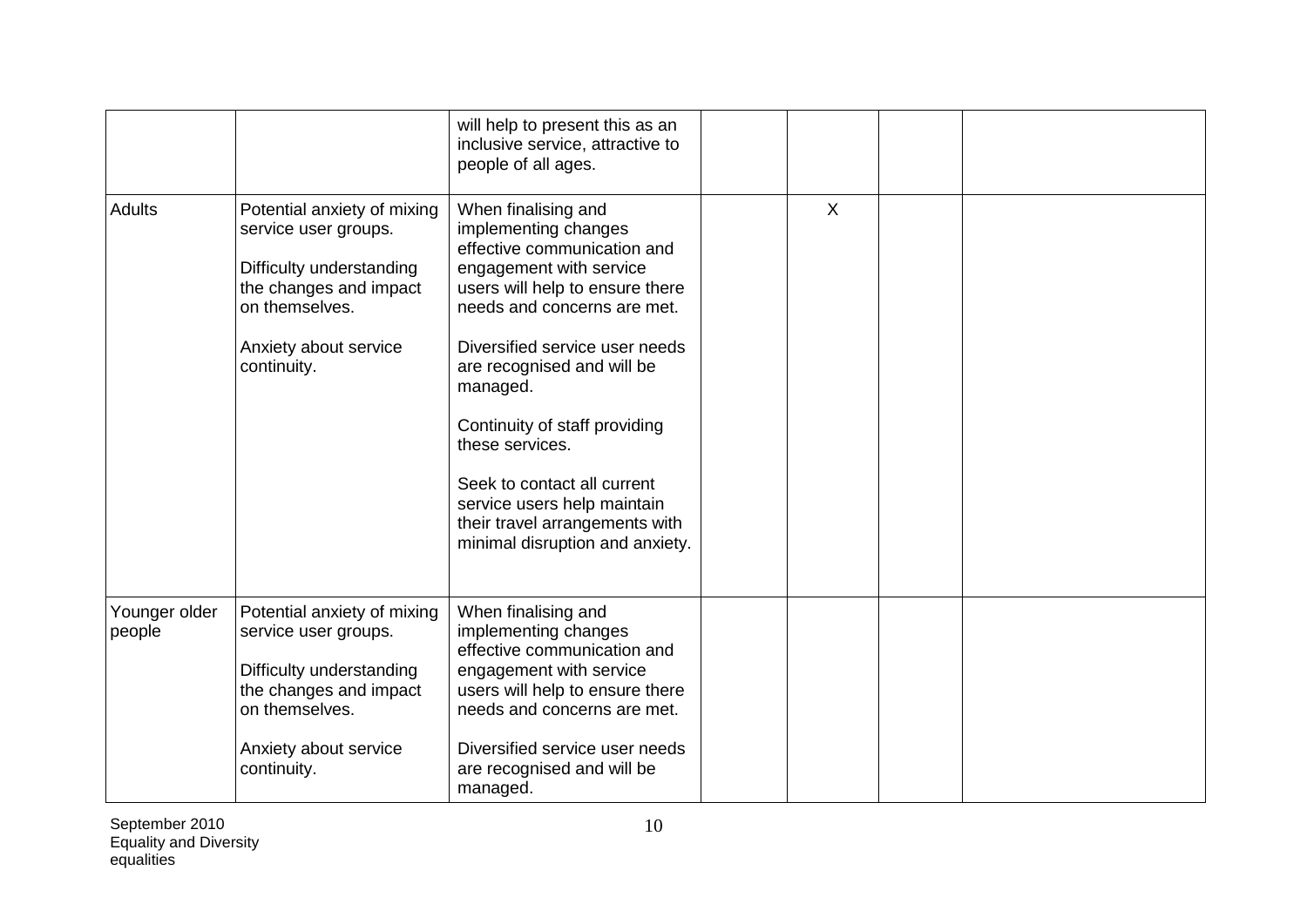|                         |                                                                                                                                                                     | will help to present this as an<br>inclusive service, attractive to<br>people of all ages.                                                                                                                                                                                                                                                                                                                                                 |              |  |  |
|-------------------------|---------------------------------------------------------------------------------------------------------------------------------------------------------------------|--------------------------------------------------------------------------------------------------------------------------------------------------------------------------------------------------------------------------------------------------------------------------------------------------------------------------------------------------------------------------------------------------------------------------------------------|--------------|--|--|
| <b>Adults</b>           | Potential anxiety of mixing<br>service user groups.<br>Difficulty understanding<br>the changes and impact<br>on themselves.<br>Anxiety about service<br>continuity. | When finalising and<br>implementing changes<br>effective communication and<br>engagement with service<br>users will help to ensure there<br>needs and concerns are met.<br>Diversified service user needs<br>are recognised and will be<br>managed.<br>Continuity of staff providing<br>these services.<br>Seek to contact all current<br>service users help maintain<br>their travel arrangements with<br>minimal disruption and anxiety. | $\mathsf{X}$ |  |  |
| Younger older<br>people | Potential anxiety of mixing<br>service user groups.<br>Difficulty understanding<br>the changes and impact<br>on themselves.<br>Anxiety about service<br>continuity. | When finalising and<br>implementing changes<br>effective communication and<br>engagement with service<br>users will help to ensure there<br>needs and concerns are met.<br>Diversified service user needs<br>are recognised and will be<br>managed.                                                                                                                                                                                        |              |  |  |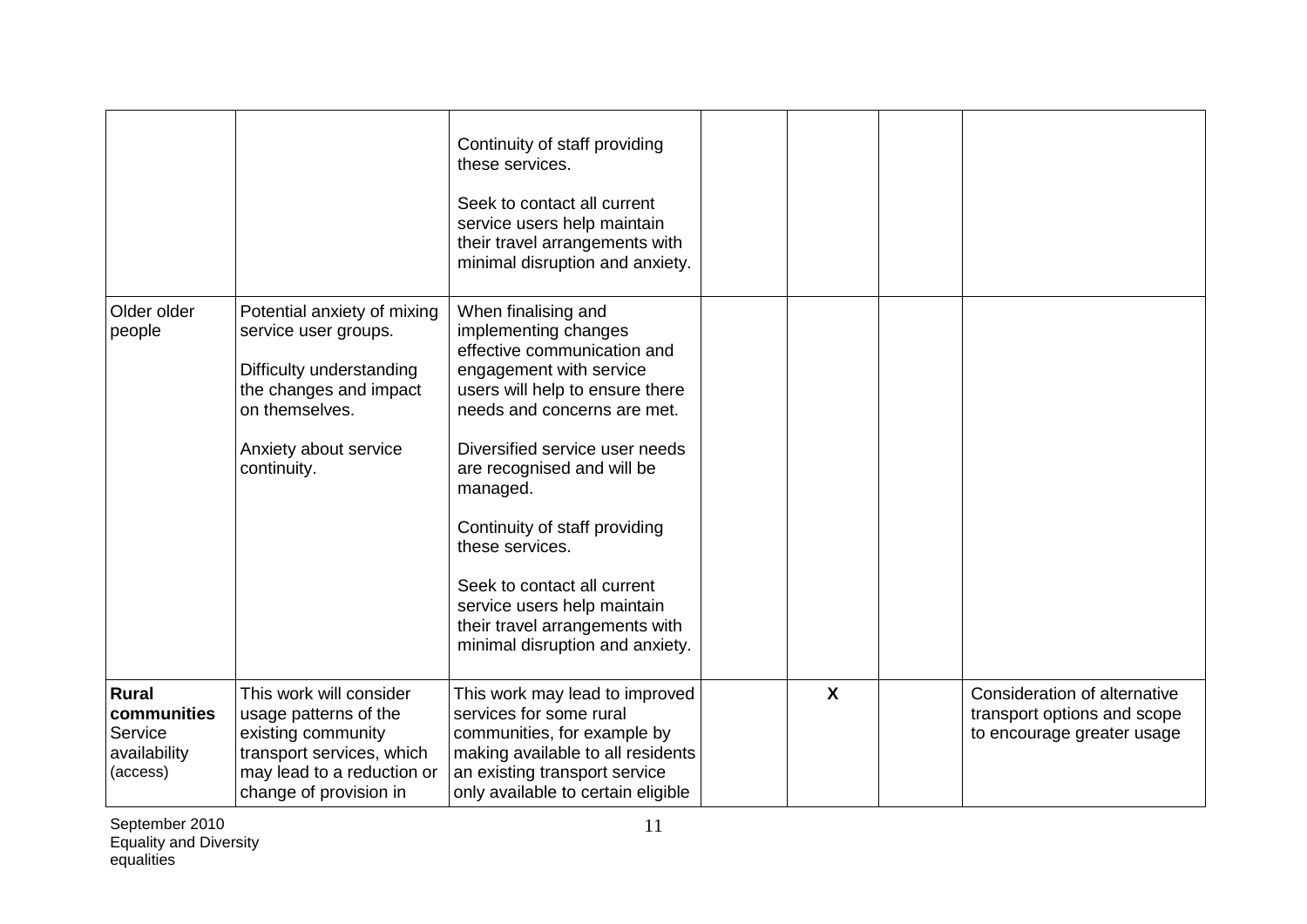|                                                                    |                                                                                                                                                                     | Continuity of staff providing<br>these services.<br>Seek to contact all current<br>service users help maintain<br>their travel arrangements with<br>minimal disruption and anxiety.                                                                                                                                                                                                                                                        |                           |                                                                                           |
|--------------------------------------------------------------------|---------------------------------------------------------------------------------------------------------------------------------------------------------------------|--------------------------------------------------------------------------------------------------------------------------------------------------------------------------------------------------------------------------------------------------------------------------------------------------------------------------------------------------------------------------------------------------------------------------------------------|---------------------------|-------------------------------------------------------------------------------------------|
| Older older<br>people                                              | Potential anxiety of mixing<br>service user groups.<br>Difficulty understanding<br>the changes and impact<br>on themselves.<br>Anxiety about service<br>continuity. | When finalising and<br>implementing changes<br>effective communication and<br>engagement with service<br>users will help to ensure there<br>needs and concerns are met.<br>Diversified service user needs<br>are recognised and will be<br>managed.<br>Continuity of staff providing<br>these services.<br>Seek to contact all current<br>service users help maintain<br>their travel arrangements with<br>minimal disruption and anxiety. |                           |                                                                                           |
| <b>Rural</b><br>communities<br>Service<br>availability<br>(access) | This work will consider<br>usage patterns of the<br>existing community<br>transport services, which<br>may lead to a reduction or<br>change of provision in         | This work may lead to improved<br>services for some rural<br>communities, for example by<br>making available to all residents<br>an existing transport service<br>only available to certain eligible                                                                                                                                                                                                                                       | $\boldsymbol{\mathsf{X}}$ | Consideration of alternative<br>transport options and scope<br>to encourage greater usage |

September 2010 Equality and Diversity equalities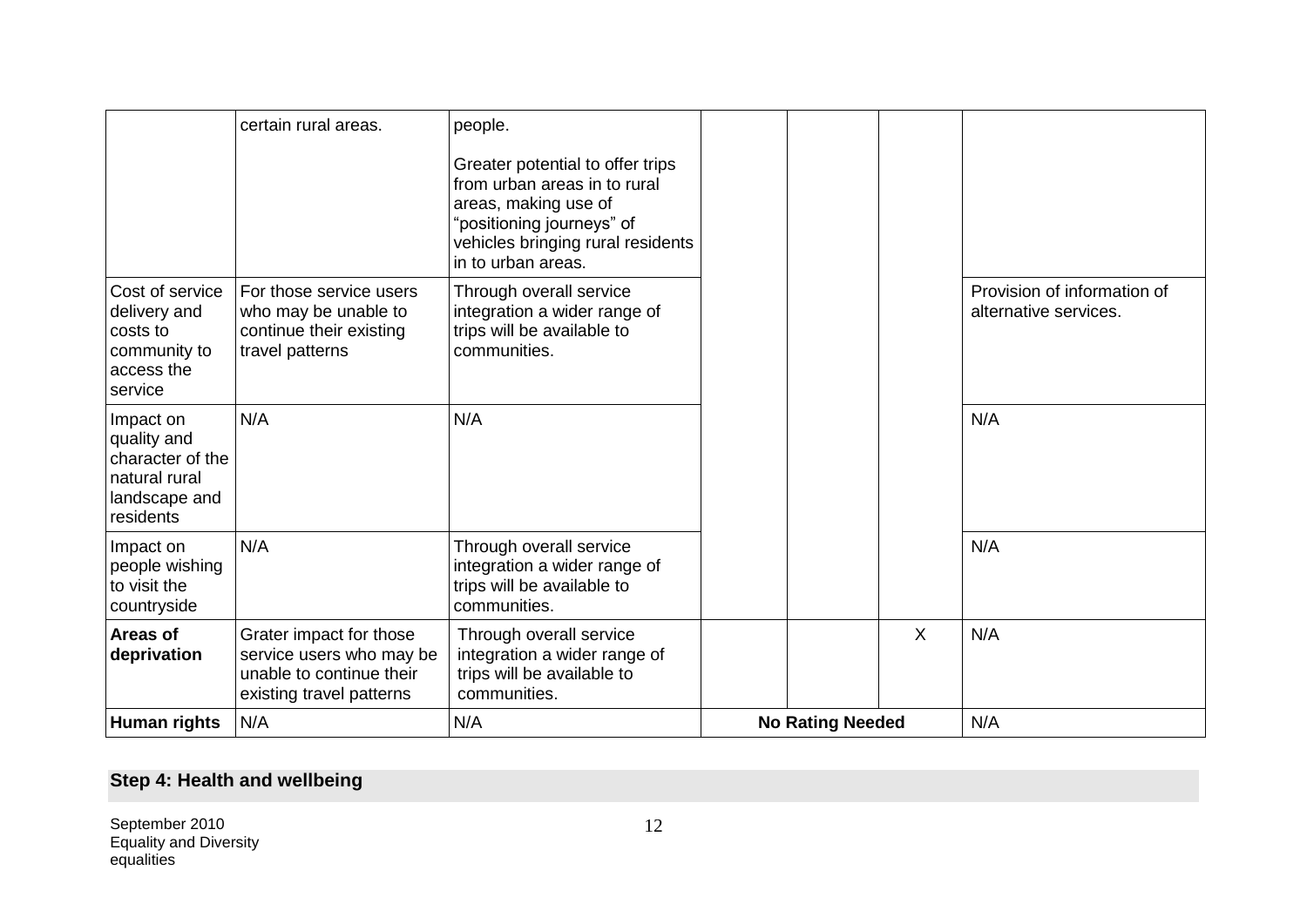|                                                                                             | certain rural areas.                                                                                        | people.<br>Greater potential to offer trips<br>from urban areas in to rural<br>areas, making use of<br>"positioning journeys" of<br>vehicles bringing rural residents<br>in to urban areas. |                         |         |                                                      |
|---------------------------------------------------------------------------------------------|-------------------------------------------------------------------------------------------------------------|---------------------------------------------------------------------------------------------------------------------------------------------------------------------------------------------|-------------------------|---------|------------------------------------------------------|
| Cost of service<br>delivery and<br>costs to<br>community to<br>access the<br>service        | For those service users<br>who may be unable to<br>continue their existing<br>travel patterns               | Through overall service<br>integration a wider range of<br>trips will be available to<br>communities.                                                                                       |                         |         | Provision of information of<br>alternative services. |
| Impact on<br>quality and<br>character of the<br>natural rural<br>landscape and<br>residents | N/A                                                                                                         | N/A                                                                                                                                                                                         |                         |         | N/A                                                  |
| Impact on<br>people wishing<br>to visit the<br>countryside                                  | N/A                                                                                                         | Through overall service<br>integration a wider range of<br>trips will be available to<br>communities.                                                                                       |                         |         | N/A                                                  |
| Areas of<br>deprivation                                                                     | Grater impact for those<br>service users who may be<br>unable to continue their<br>existing travel patterns | Through overall service<br>integration a wider range of<br>trips will be available to<br>communities.                                                                                       |                         | $\sf X$ | N/A                                                  |
| <b>Human rights</b>                                                                         | N/A                                                                                                         | N/A                                                                                                                                                                                         | <b>No Rating Needed</b> |         | N/A                                                  |

# **Step 4: Health and wellbeing**

September 2010 Equality and Diversity equalities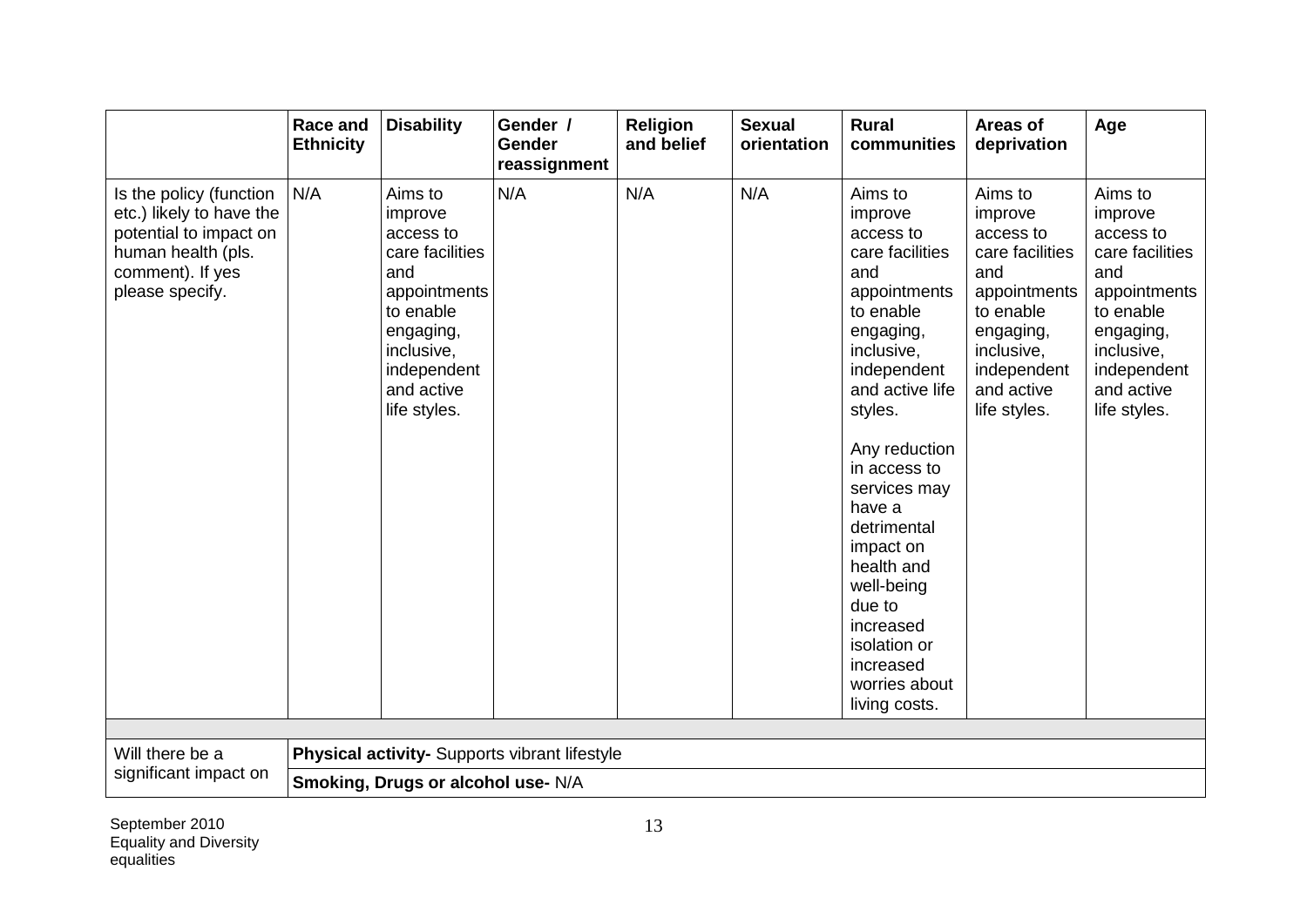|                                                                                                                                            | <b>Race and</b><br><b>Ethnicity</b> | <b>Disability</b>                                                                                                                                              | Gender /<br>Gender<br>reassignment            | <b>Religion</b><br>and belief | <b>Sexual</b><br>orientation | <b>Rural</b><br>communities                                                                                                                                                                                                                                                                                                                                             | Areas of<br>deprivation                                                                                                                                        | Age                                                                                                                                                            |
|--------------------------------------------------------------------------------------------------------------------------------------------|-------------------------------------|----------------------------------------------------------------------------------------------------------------------------------------------------------------|-----------------------------------------------|-------------------------------|------------------------------|-------------------------------------------------------------------------------------------------------------------------------------------------------------------------------------------------------------------------------------------------------------------------------------------------------------------------------------------------------------------------|----------------------------------------------------------------------------------------------------------------------------------------------------------------|----------------------------------------------------------------------------------------------------------------------------------------------------------------|
| Is the policy (function<br>etc.) likely to have the<br>potential to impact on<br>human health (pls.<br>comment). If yes<br>please specify. | N/A                                 | Aims to<br>improve<br>access to<br>care facilities<br>and<br>appointments<br>to enable<br>engaging,<br>inclusive,<br>independent<br>and active<br>life styles. | N/A                                           | N/A                           | N/A                          | Aims to<br>improve<br>access to<br>care facilities<br>and<br>appointments<br>to enable<br>engaging,<br>inclusive,<br>independent<br>and active life<br>styles.<br>Any reduction<br>in access to<br>services may<br>have a<br>detrimental<br>impact on<br>health and<br>well-being<br>due to<br>increased<br>isolation or<br>increased<br>worries about<br>living costs. | Aims to<br>improve<br>access to<br>care facilities<br>and<br>appointments<br>to enable<br>engaging,<br>inclusive,<br>independent<br>and active<br>life styles. | Aims to<br>improve<br>access to<br>care facilities<br>and<br>appointments<br>to enable<br>engaging,<br>inclusive,<br>independent<br>and active<br>life styles. |
|                                                                                                                                            |                                     |                                                                                                                                                                |                                               |                               |                              |                                                                                                                                                                                                                                                                                                                                                                         |                                                                                                                                                                |                                                                                                                                                                |
| Will there be a                                                                                                                            |                                     |                                                                                                                                                                | Physical activity- Supports vibrant lifestyle |                               |                              |                                                                                                                                                                                                                                                                                                                                                                         |                                                                                                                                                                |                                                                                                                                                                |
| significant impact on                                                                                                                      |                                     | Smoking, Drugs or alcohol use- N/A                                                                                                                             |                                               |                               |                              |                                                                                                                                                                                                                                                                                                                                                                         |                                                                                                                                                                |                                                                                                                                                                |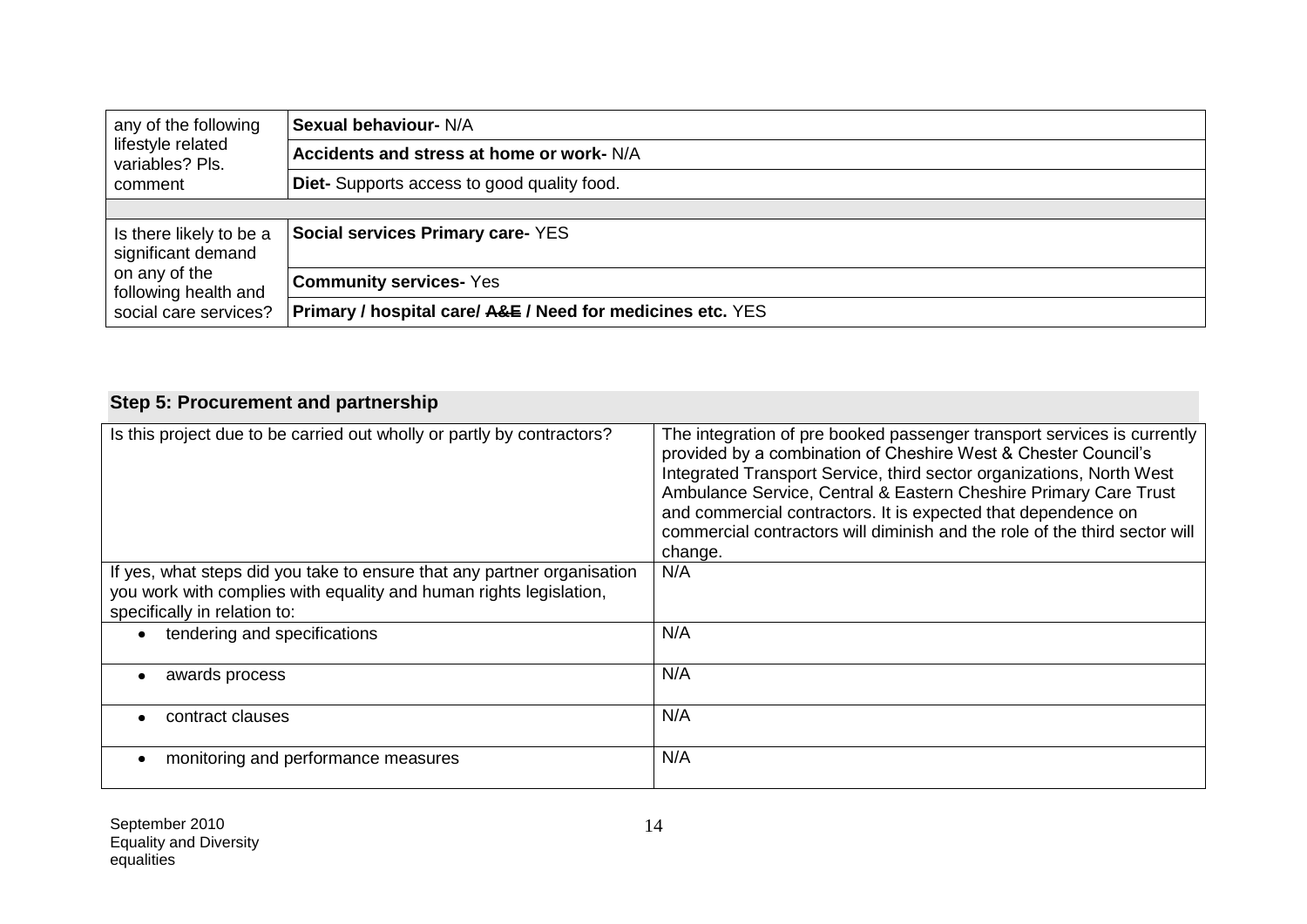| any of the following                                                                                            | <b>Sexual behaviour- N/A</b>                                          |
|-----------------------------------------------------------------------------------------------------------------|-----------------------------------------------------------------------|
| lifestyle related<br>variables? Pls.<br>comment                                                                 | Accidents and stress at home or work- N/A                             |
|                                                                                                                 | Diet- Supports access to good quality food.                           |
|                                                                                                                 |                                                                       |
| Is there likely to be a<br>significant demand<br>on any of the<br>following health and<br>social care services? | <b>Social services Primary care- YES</b>                              |
|                                                                                                                 | <b>Community services- Yes</b>                                        |
|                                                                                                                 | <b>Primary / hospital care/ A&amp;E / Need for medicines etc. YES</b> |

# **Step 5: Procurement and partnership**

| Is this project due to be carried out wholly or partly by contractors?  | The integration of pre booked passenger transport services is currently<br>provided by a combination of Cheshire West & Chester Council's<br>Integrated Transport Service, third sector organizations, North West<br>Ambulance Service, Central & Eastern Cheshire Primary Care Trust<br>and commercial contractors. It is expected that dependence on<br>commercial contractors will diminish and the role of the third sector will<br>change. |
|-------------------------------------------------------------------------|-------------------------------------------------------------------------------------------------------------------------------------------------------------------------------------------------------------------------------------------------------------------------------------------------------------------------------------------------------------------------------------------------------------------------------------------------|
| If yes, what steps did you take to ensure that any partner organisation | N/A                                                                                                                                                                                                                                                                                                                                                                                                                                             |
| you work with complies with equality and human rights legislation,      |                                                                                                                                                                                                                                                                                                                                                                                                                                                 |
| specifically in relation to:                                            |                                                                                                                                                                                                                                                                                                                                                                                                                                                 |
|                                                                         |                                                                                                                                                                                                                                                                                                                                                                                                                                                 |
| tendering and specifications                                            | N/A                                                                                                                                                                                                                                                                                                                                                                                                                                             |
| awards process                                                          | N/A                                                                                                                                                                                                                                                                                                                                                                                                                                             |
|                                                                         |                                                                                                                                                                                                                                                                                                                                                                                                                                                 |
| contract clauses                                                        | N/A                                                                                                                                                                                                                                                                                                                                                                                                                                             |
|                                                                         |                                                                                                                                                                                                                                                                                                                                                                                                                                                 |
| monitoring and performance measures                                     | N/A                                                                                                                                                                                                                                                                                                                                                                                                                                             |
|                                                                         |                                                                                                                                                                                                                                                                                                                                                                                                                                                 |